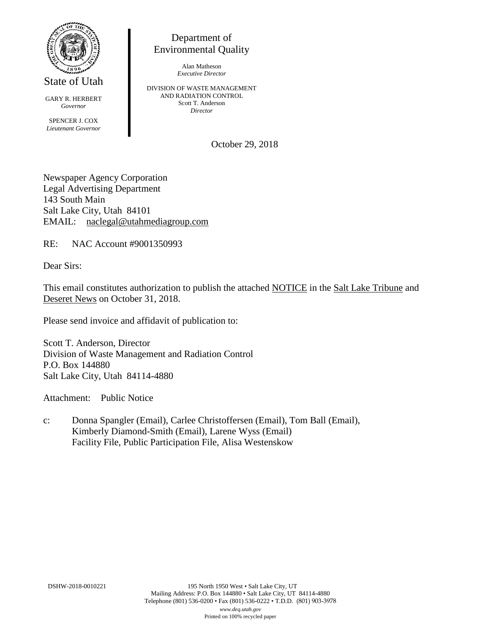

State of Utah

GARY R. HERBERT *Governor* SPENCER J. COX *Lieutenant Governor*

Department of Environmental Quality

> Alan Matheson *Executive Director*

DIVISION OF WASTE MANAGEMENT AND RADIATION CONTROL Scott T. Anderson *Director*

October 29, 2018

Newspaper Agency Corporation Legal Advertising Department 143 South Main Salt Lake City, Utah 84101 EMAIL: naclegal@utahmediagroup.com

RE: NAC Account #9001350993

Dear Sirs:

This email constitutes authorization to publish the attached NOTICE in the Salt Lake Tribune and Deseret News on October 31, 2018.

Please send invoice and affidavit of publication to:

Scott T. Anderson, Director Division of Waste Management and Radiation Control P.O. Box 144880 Salt Lake City, Utah 84114-4880

Attachment: Public Notice

c: Donna Spangler (Email), Carlee Christoffersen (Email), Tom Ball (Email), Kimberly Diamond-Smith (Email), Larene Wyss (Email) Facility File, Public Participation File, Alisa Westenskow